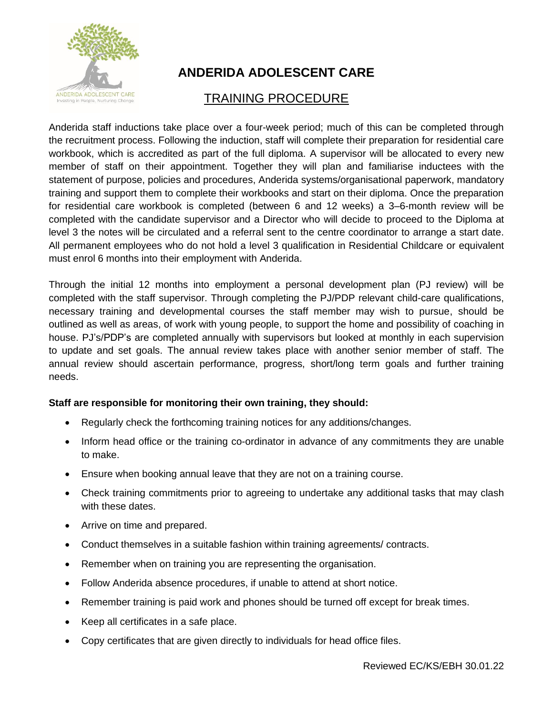

## **ANDERIDA ADOLESCENT CARE**

## TRAINING PROCEDURE

Anderida staff inductions take place over a four-week period; much of this can be completed through the recruitment process. Following the induction, staff will complete their preparation for residential care workbook, which is accredited as part of the full diploma. A supervisor will be allocated to every new member of staff on their appointment. Together they will plan and familiarise inductees with the statement of purpose, policies and procedures, Anderida systems/organisational paperwork, mandatory training and support them to complete their workbooks and start on their diploma. Once the preparation for residential care workbook is completed (between 6 and 12 weeks) a 3–6-month review will be completed with the candidate supervisor and a Director who will decide to proceed to the Diploma at level 3 the notes will be circulated and a referral sent to the centre coordinator to arrange a start date. All permanent employees who do not hold a level 3 qualification in Residential Childcare or equivalent must enrol 6 months into their employment with Anderida.

Through the initial 12 months into employment a personal development plan (PJ review) will be completed with the staff supervisor. Through completing the PJ/PDP relevant child-care qualifications, necessary training and developmental courses the staff member may wish to pursue, should be outlined as well as areas, of work with young people, to support the home and possibility of coaching in house. PJ's/PDP's are completed annually with supervisors but looked at monthly in each supervision to update and set goals. The annual review takes place with another senior member of staff. The annual review should ascertain performance, progress, short/long term goals and further training needs.

## **Staff are responsible for monitoring their own training, they should:**

- Regularly check the forthcoming training notices for any additions/changes.
- Inform head office or the training co-ordinator in advance of any commitments they are unable to make.
- Ensure when booking annual leave that they are not on a training course.
- Check training commitments prior to agreeing to undertake any additional tasks that may clash with these dates.
- Arrive on time and prepared.
- Conduct themselves in a suitable fashion within training agreements/ contracts.
- Remember when on training you are representing the organisation.
- Follow Anderida absence procedures, if unable to attend at short notice.
- Remember training is paid work and phones should be turned off except for break times.
- Keep all certificates in a safe place.
- Copy certificates that are given directly to individuals for head office files.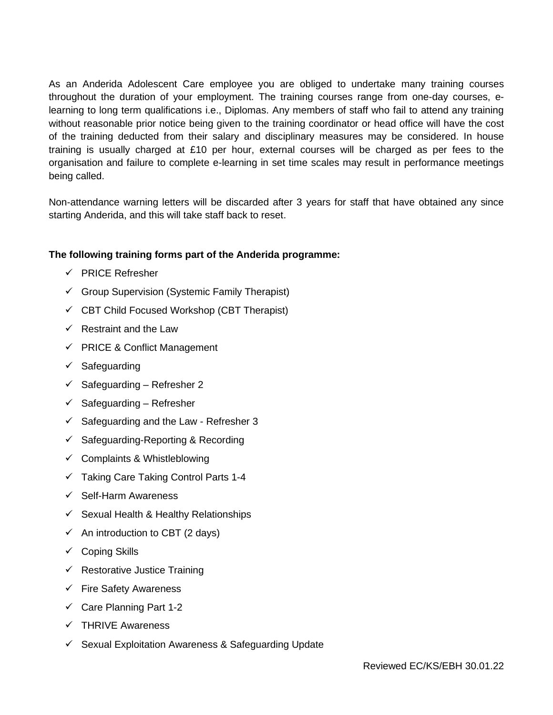As an Anderida Adolescent Care employee you are obliged to undertake many training courses throughout the duration of your employment. The training courses range from one-day courses, elearning to long term qualifications i.e., Diplomas. Any members of staff who fail to attend any training without reasonable prior notice being given to the training coordinator or head office will have the cost of the training deducted from their salary and disciplinary measures may be considered. In house training is usually charged at £10 per hour, external courses will be charged as per fees to the organisation and failure to complete e-learning in set time scales may result in performance meetings being called.

Non-attendance warning letters will be discarded after 3 years for staff that have obtained any since starting Anderida, and this will take staff back to reset.

## **The following training forms part of the Anderida programme:**

- ✓ PRICE Refresher
- $\checkmark$  Group Supervision (Systemic Family Therapist)
- $\checkmark$  CBT Child Focused Workshop (CBT Therapist)
- $\checkmark$  Restraint and the Law
- ✓ PRICE & Conflict Management
- ✓ Safeguarding
- $\checkmark$  Safeguarding Refresher 2
- $\checkmark$  Safeguarding Refresher
- $\checkmark$  Safeguarding and the Law Refresher 3
- $\checkmark$  Safeguarding-Reporting & Recording
- $\checkmark$  Complaints & Whistleblowing
- ✓ Taking Care Taking Control Parts 1-4
- ✓ Self-Harm Awareness
- ✓ Sexual Health & Healthy Relationships
- $\checkmark$  An introduction to CBT (2 days)
- ✓ Coping Skills
- $\checkmark$  Restorative Justice Training
- ✓ Fire Safety Awareness
- $\checkmark$  Care Planning Part 1-2
- ✓ THRIVE Awareness
- $\checkmark$  Sexual Exploitation Awareness & Safeguarding Update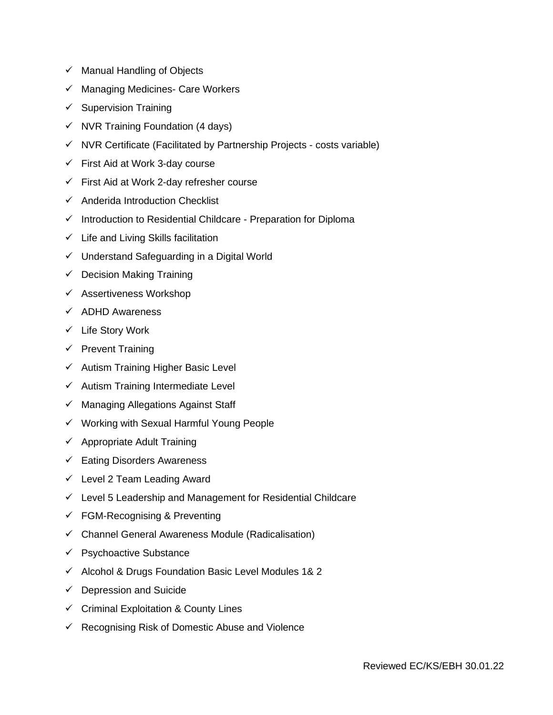- ✓ Manual Handling of Objects
- ✓ Managing Medicines- Care Workers
- $\checkmark$  Supervision Training
- $\checkmark$  NVR Training Foundation (4 days)
- ✓ NVR Certificate (Facilitated by Partnership Projects costs variable)
- $\checkmark$  First Aid at Work 3-day course
- $\checkmark$  First Aid at Work 2-day refresher course
- ✓ Anderida Introduction Checklist
- ✓ Introduction to Residential Childcare Preparation for Diploma
- $\checkmark$  Life and Living Skills facilitation
- $\checkmark$  Understand Safeguarding in a Digital World
- $\checkmark$  Decision Making Training
- ✓ Assertiveness Workshop
- ✓ ADHD Awareness
- ✓ Life Story Work
- $\checkmark$  Prevent Training
- ✓ Autism Training Higher Basic Level
- ✓ Autism Training Intermediate Level
- ✓ Managing Allegations Against Staff
- ✓ Working with Sexual Harmful Young People
- $\checkmark$  Appropriate Adult Training
- ✓ Eating Disorders Awareness
- $\checkmark$  Level 2 Team Leading Award
- $\checkmark$  Level 5 Leadership and Management for Residential Childcare
- $\checkmark$  FGM-Recognising & Preventing
- $\checkmark$  Channel General Awareness Module (Radicalisation)
- ✓ Psychoactive Substance
- ✓ Alcohol & Drugs Foundation Basic Level Modules 1& 2
- $\checkmark$  Depression and Suicide
- ✓ Criminal Exploitation & County Lines
- $\checkmark$  Recognising Risk of Domestic Abuse and Violence